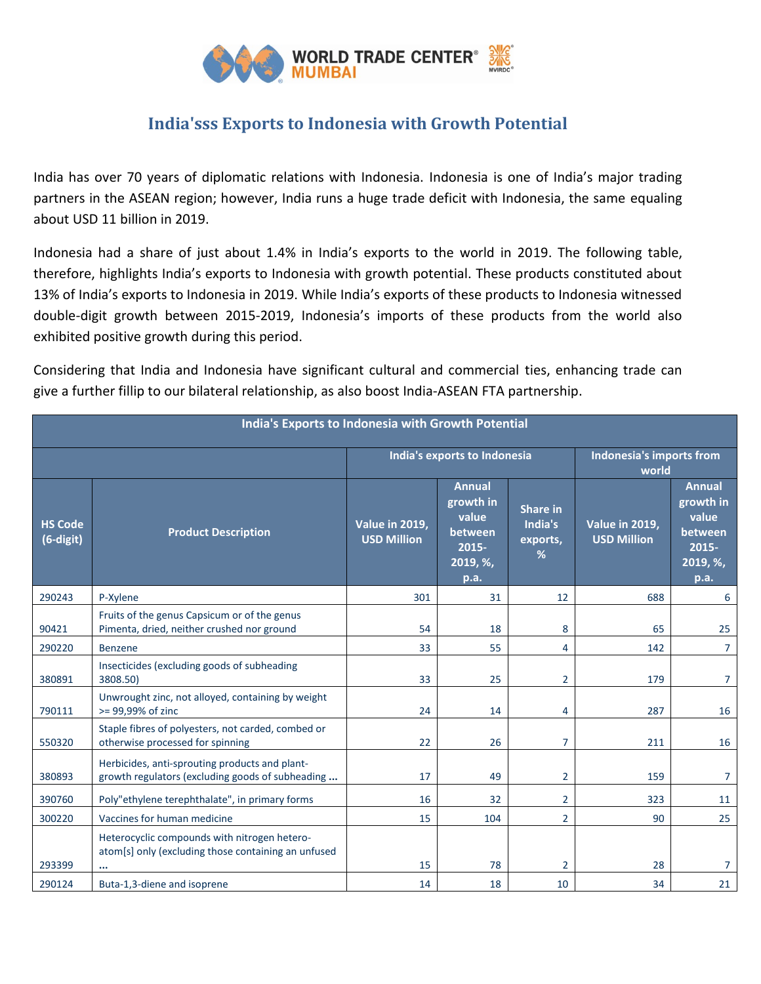

## **India'sss Exports to Indonesia with Growth Potential**

India has over 70 years of diplomatic relations with Indonesia. Indonesia is one of India's major trading partners in the ASEAN region; however, India runs a huge trade deficit with Indonesia, the same equaling about USD 11 billion in 2019.

Indonesia had a share of just about 1.4% in India's exports to the world in 2019. The following table, therefore, highlights India's exports to Indonesia with growth potential. These products constituted about 13% of India's exports to Indonesia in 2019. While India's exports of these products to Indonesia witnessed double-digit growth between 2015-2019, Indonesia's imports of these products from the world also exhibited positive growth during this period.

Considering that India and Indonesia have significant cultural and commercial ties, enhancing trade can give a further fillip to our bilateral relationship, as also boost India-ASEAN FTA partnership.

| India's Exports to Indonesia with Growth Potential |                                                                                                     |                                             |                                                                             |                                             |                                             |                                                                                |  |  |  |  |
|----------------------------------------------------|-----------------------------------------------------------------------------------------------------|---------------------------------------------|-----------------------------------------------------------------------------|---------------------------------------------|---------------------------------------------|--------------------------------------------------------------------------------|--|--|--|--|
|                                                    |                                                                                                     | India's exports to Indonesia                |                                                                             |                                             | Indonesia's imports from<br>world           |                                                                                |  |  |  |  |
| <b>HS Code</b><br>(6-digit)                        | <b>Product Description</b>                                                                          | <b>Value in 2019,</b><br><b>USD Million</b> | <b>Annual</b><br>growth in<br>value<br>between<br>2015-<br>2019, %,<br>p.a. | <b>Share in</b><br>India's<br>exports,<br>% | <b>Value in 2019,</b><br><b>USD Million</b> | <b>Annual</b><br>growth in<br>value<br>between<br>$2015 -$<br>2019, %,<br>p.a. |  |  |  |  |
| 290243                                             | P-Xylene                                                                                            | 301                                         | 31                                                                          | 12                                          | 688                                         | 6                                                                              |  |  |  |  |
| 90421                                              | Fruits of the genus Capsicum or of the genus<br>Pimenta, dried, neither crushed nor ground          | 54                                          | 18                                                                          | 8                                           | 65                                          | 25                                                                             |  |  |  |  |
| 290220                                             | <b>Benzene</b>                                                                                      | 33                                          | 55                                                                          | 4                                           | 142                                         | $\overline{7}$                                                                 |  |  |  |  |
| 380891                                             | Insecticides (excluding goods of subheading<br>3808.50)                                             | 33                                          | 25                                                                          | $\overline{2}$                              | 179                                         | $\overline{7}$                                                                 |  |  |  |  |
| 790111                                             | Unwrought zinc, not alloyed, containing by weight<br>>= 99,99% of zinc                              | 24                                          | 14                                                                          | 4                                           | 287                                         | 16                                                                             |  |  |  |  |
| 550320                                             | Staple fibres of polyesters, not carded, combed or<br>otherwise processed for spinning              | 22                                          | 26                                                                          | 7                                           | 211                                         | 16                                                                             |  |  |  |  |
| 380893                                             | Herbicides, anti-sprouting products and plant-<br>growth regulators (excluding goods of subheading  | 17                                          | 49                                                                          | $\overline{2}$                              | 159                                         | $\overline{7}$                                                                 |  |  |  |  |
| 390760                                             | Poly"ethylene terephthalate", in primary forms                                                      | 16                                          | 32                                                                          | $\overline{2}$                              | 323                                         | 11                                                                             |  |  |  |  |
| 300220                                             | Vaccines for human medicine                                                                         | 15                                          | 104                                                                         | $\overline{2}$                              | 90                                          | 25                                                                             |  |  |  |  |
| 293399                                             | Heterocyclic compounds with nitrogen hetero-<br>atom[s] only (excluding those containing an unfused | 15                                          | 78                                                                          | $\overline{2}$                              | 28                                          | $\overline{7}$                                                                 |  |  |  |  |
| 290124                                             | Buta-1,3-diene and isoprene                                                                         | 14                                          | 18                                                                          | 10                                          | 34                                          | 21                                                                             |  |  |  |  |